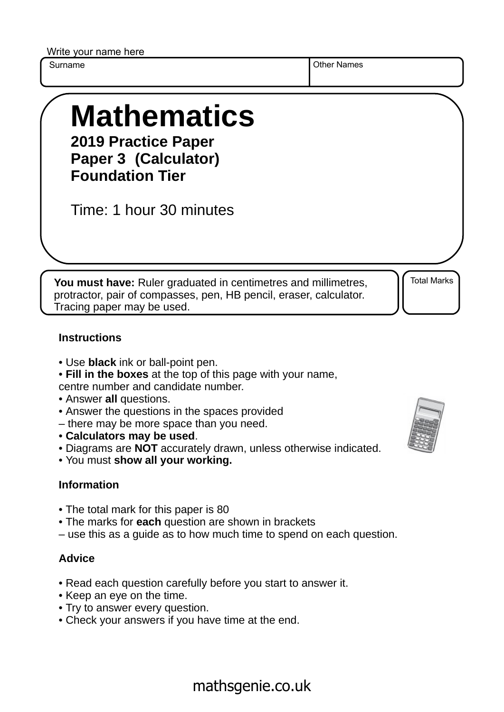Write your name here

Surname **Other Names** Other Names

# **Mathematics 2019 Practice Paper**

**Paper 3 (Calculator) Foundation Tier**

Time: 1 hour 30 minutes

**You must have:** Ruler graduated in centimetres and millimetres, protractor, pair of compasses, pen, HB pencil, eraser, calculator. Tracing paper may be used.

Total Marks

#### **Instructions**

- Use **black** ink or ball-point pen.
- **Fill in the boxes** at the top of this page with your name,
- centre number and candidate number.
- Answer **all** questions.
- Answer the questions in the spaces provided
- there may be more space than you need.
- **Calculators may be used**.
- Diagrams are **NOT** accurately drawn, unless otherwise indicated.
- You must **show all your working.**

### **Information**

- The total mark for this paper is 80
- The marks for **each** question are shown in brackets
- use this as a guide as to how much time to spend on each question.

### **Advice**

- Read each question carefully before you start to answer it.
- Keep an eye on the time.
- Try to answer every question.
- Check your answers if you have time at the end.



## mathsgenie.co.uk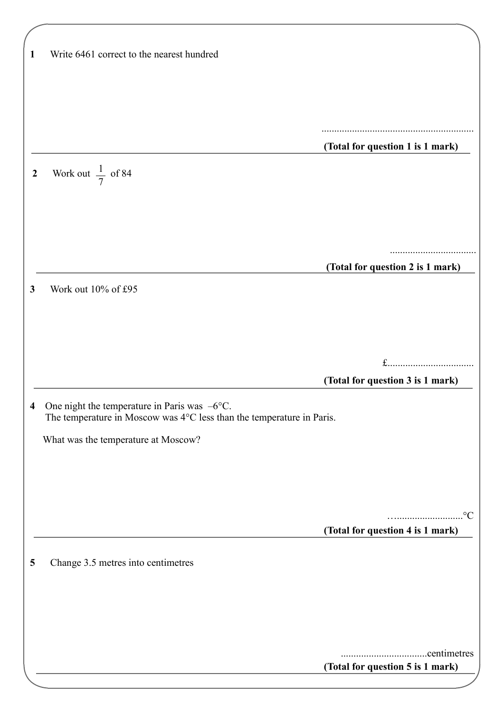| 1                | Write 6461 correct to the nearest hundred                             |                                  |
|------------------|-----------------------------------------------------------------------|----------------------------------|
|                  |                                                                       |                                  |
|                  |                                                                       |                                  |
|                  |                                                                       |                                  |
|                  |                                                                       |                                  |
|                  |                                                                       |                                  |
|                  |                                                                       | (Total for question 1 is 1 mark) |
|                  |                                                                       |                                  |
| $\boldsymbol{2}$ | Work out $\frac{1}{7}$ of 84                                          |                                  |
|                  |                                                                       |                                  |
|                  |                                                                       |                                  |
|                  |                                                                       |                                  |
|                  |                                                                       |                                  |
|                  |                                                                       |                                  |
|                  |                                                                       | (Total for question 2 is 1 mark) |
| 3                | Work out 10% of £95                                                   |                                  |
|                  |                                                                       |                                  |
|                  |                                                                       |                                  |
|                  |                                                                       |                                  |
|                  |                                                                       |                                  |
|                  |                                                                       | $f$                              |
|                  |                                                                       |                                  |
|                  |                                                                       | (Total for question 3 is 1 mark) |
|                  |                                                                       |                                  |
| 4                | One night the temperature in Paris was $-6$ °C.                       |                                  |
|                  | The temperature in Moscow was 4°C less than the temperature in Paris. |                                  |
|                  | What was the temperature at Moscow?                                   |                                  |
|                  |                                                                       |                                  |
|                  |                                                                       |                                  |
|                  |                                                                       |                                  |
|                  |                                                                       |                                  |
|                  |                                                                       | $\rm ^{\circ}C$<br>.             |
|                  |                                                                       | (Total for question 4 is 1 mark) |
|                  |                                                                       |                                  |
| 5                | Change 3.5 metres into centimetres                                    |                                  |
|                  |                                                                       |                                  |
|                  |                                                                       |                                  |
|                  |                                                                       |                                  |
|                  |                                                                       |                                  |
|                  |                                                                       |                                  |
|                  |                                                                       |                                  |
|                  |                                                                       | (Total for question 5 is 1 mark) |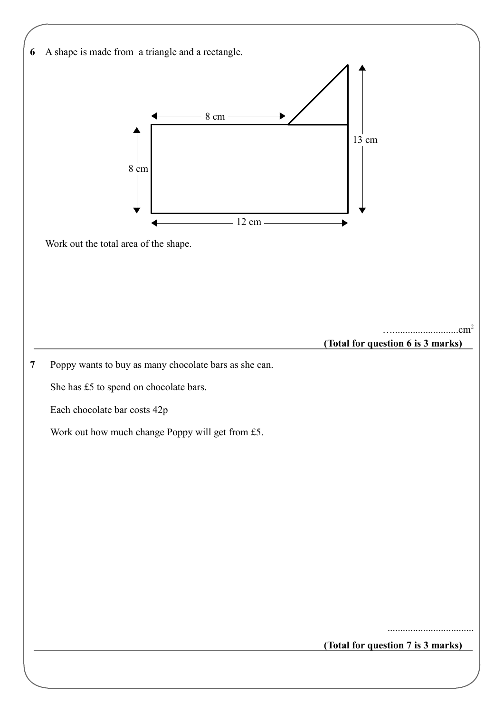| A shape is made from a triangle and a rectangle.      |
|-------------------------------------------------------|
|                                                       |
|                                                       |
| $8 \text{ cm}$                                        |
| $13 \text{ cm}$                                       |
|                                                       |
| $8 \text{ cm}$                                        |
|                                                       |
| 12 cm                                                 |
| Work out the total area of the shape.                 |
|                                                       |
|                                                       |
|                                                       |
| .cm <sup>2</sup>                                      |
| (Total for question 6 is 3 marks)                     |
| Poppy wants to buy as many chocolate bars as she can. |
| She has £5 to spend on chocolate bars.                |
| Each chocolate bar costs 42p                          |
| Work out how much change Poppy will get from £5.      |
|                                                       |
|                                                       |
|                                                       |
|                                                       |
|                                                       |
|                                                       |
|                                                       |
|                                                       |
|                                                       |
|                                                       |
| (Total for question 7 is 3 marks)                     |
|                                                       |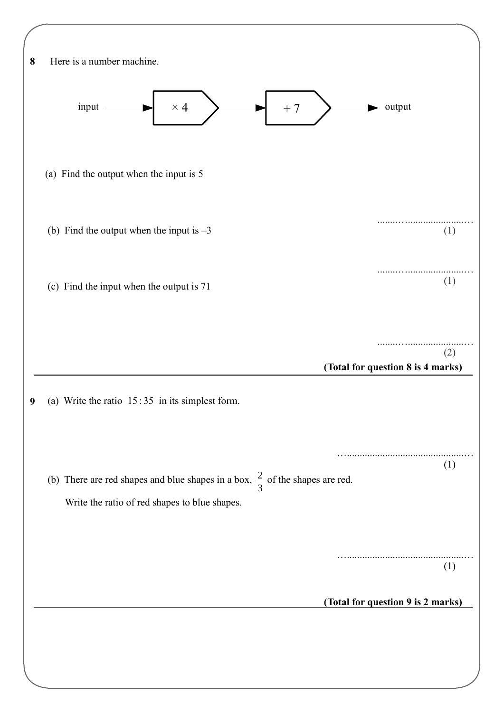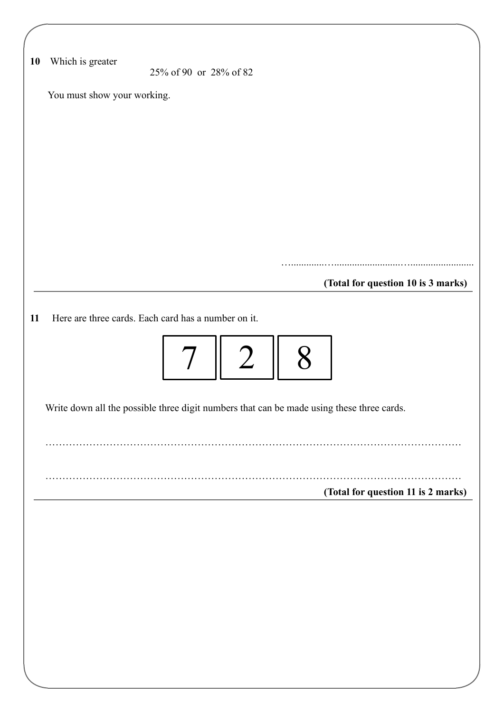| 10 | Which is greater                                                                          | 25% of 90 or 28% of 82 |                |   |                                    |
|----|-------------------------------------------------------------------------------------------|------------------------|----------------|---|------------------------------------|
|    | You must show your working.                                                               |                        |                |   |                                    |
|    |                                                                                           |                        |                |   |                                    |
|    |                                                                                           |                        |                |   |                                    |
|    |                                                                                           |                        |                |   |                                    |
|    |                                                                                           |                        |                |   |                                    |
|    |                                                                                           |                        |                |   |                                    |
|    |                                                                                           |                        |                |   |                                    |
|    |                                                                                           |                        |                |   |                                    |
|    |                                                                                           |                        |                |   |                                    |
|    |                                                                                           |                        |                |   | (Total for question 10 is 3 marks) |
|    |                                                                                           |                        |                |   |                                    |
|    | Here are three cards. Each card has a number on it.                                       |                        |                |   |                                    |
|    |                                                                                           |                        |                |   |                                    |
|    |                                                                                           |                        |                |   |                                    |
|    |                                                                                           |                        |                |   |                                    |
|    |                                                                                           | $7\overline{ }$        | $\overline{2}$ | 8 |                                    |
|    |                                                                                           |                        |                |   |                                    |
|    | Write down all the possible three digit numbers that can be made using these three cards. |                        |                |   |                                    |
|    |                                                                                           |                        |                |   |                                    |
|    |                                                                                           |                        |                |   |                                    |
|    |                                                                                           |                        |                |   |                                    |
|    |                                                                                           |                        |                |   | (Total for question 11 is 2 marks) |
|    |                                                                                           |                        |                |   |                                    |
|    |                                                                                           |                        |                |   |                                    |
|    |                                                                                           |                        |                |   |                                    |
|    |                                                                                           |                        |                |   |                                    |
|    |                                                                                           |                        |                |   |                                    |
|    |                                                                                           |                        |                |   |                                    |
|    |                                                                                           |                        |                |   |                                    |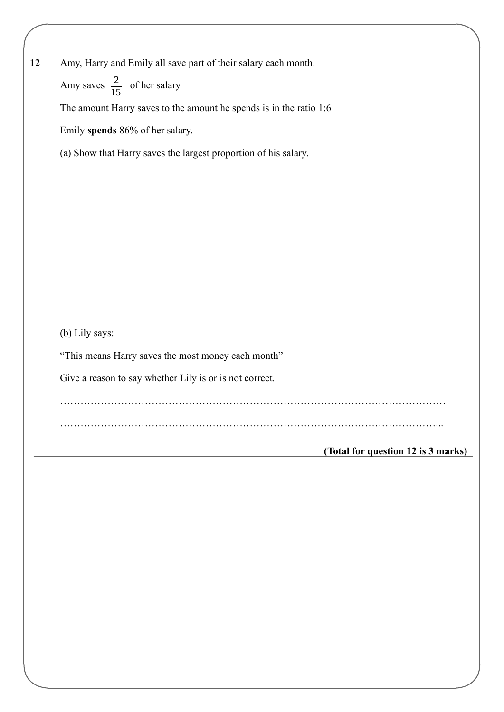**12** Amy, Harry and Emily all save part of their salary each month.

Amy saves  $\frac{2}{15}$  of her salary 15

The amount Harry saves to the amount he spends is in the ratio 1:6

Emily **spends** 86% of her salary.

(a) Show that Harry saves the largest proportion of his salary.

(b) Lily says:

"This means Harry saves the most money each month"

Give a reason to say whether Lily is or is not correct.

……………………………………………………………………………………………………

…………………………………………………………………………………………………...

**(Total for question 12 is 3 marks)**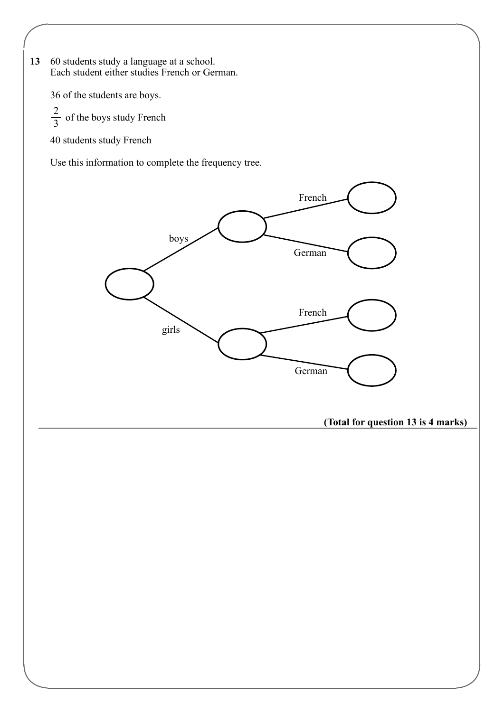**13** 60 students study a language at a school. Each student either studies French or German.

36 of the students are boys.

 $\frac{2}{3}$  of the boys study French 2 3

40 students study French

Use this information to complete the frequency tree.

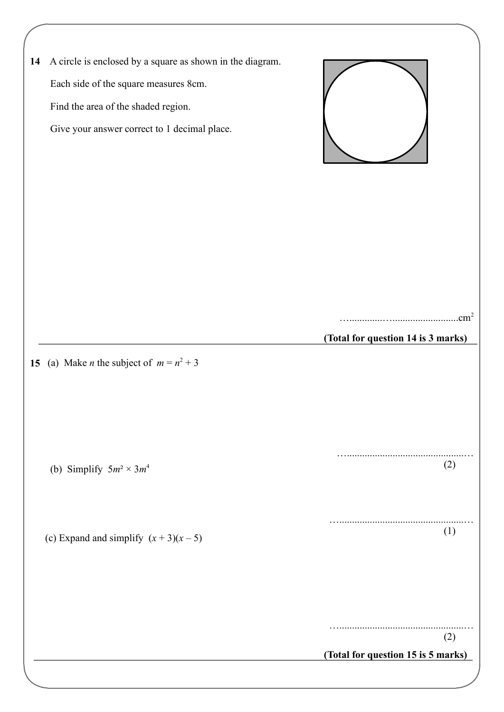| 14 | A circle is enclosed by a square as shown in the diagram.<br>Each side of the square measures 8cm.<br>Find the area of the shaded region.<br>Give your answer correct to 1 decimal place. |                                           |
|----|-------------------------------------------------------------------------------------------------------------------------------------------------------------------------------------------|-------------------------------------------|
|    | 15 (a) Make <i>n</i> the subject of $m = n^2 + 3$                                                                                                                                         | (Total for question 14 is 3 marks)        |
|    | (b) Simplify $5m^2 \times 3m^4$                                                                                                                                                           | (2)                                       |
|    | (c) Expand and simplify $(x + 3)(x - 5)$                                                                                                                                                  | (1)                                       |
|    |                                                                                                                                                                                           | (2)<br>(Total for question 15 is 5 marks) |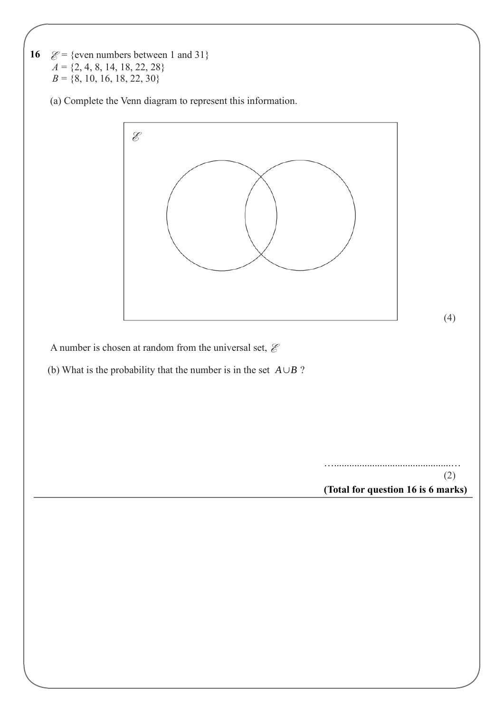**16**   $\mathcal{E}$  = {even numbers between 1 and 31}  $A = \{2, 4, 8, 14, 18, 22, 28\}$  $B = \{8, 10, 16, 18, 22, 30\}$ 

(a) Complete the Venn diagram to represent this information.



A number is chosen at random from the universal set,  $\mathcal E$ 

(b) What is the probability that the number is in the set  $A \cup B$ ?

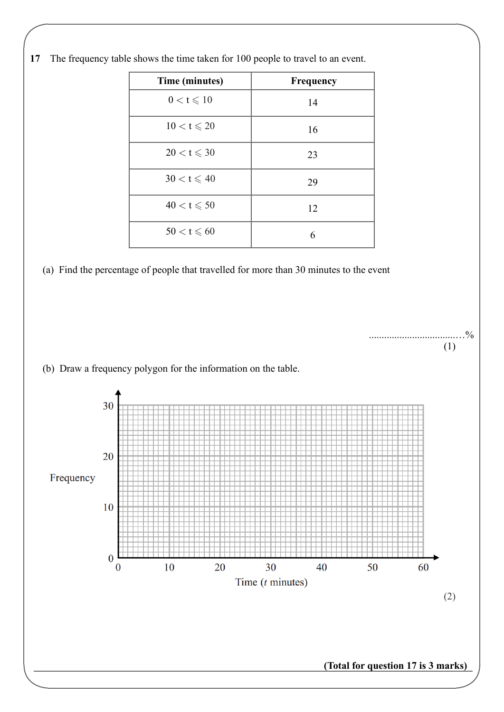

......................................%

(1)

**17** The frequency table shows the time taken for 100 people to travel to an event.





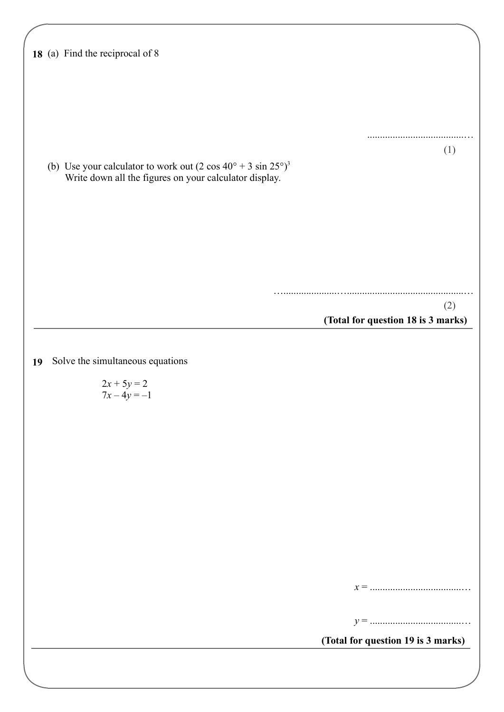|    | 18 (a) Find the reciprocal of 8                                             |                                    |
|----|-----------------------------------------------------------------------------|------------------------------------|
|    |                                                                             |                                    |
|    |                                                                             |                                    |
|    |                                                                             |                                    |
|    |                                                                             |                                    |
|    |                                                                             |                                    |
|    |                                                                             |                                    |
|    |                                                                             | (1)                                |
|    | (b) Use your calculator to work out $(2 \cos 40^\circ + 3 \sin 25^\circ)^3$ |                                    |
|    | Write down all the figures on your calculator display.                      |                                    |
|    |                                                                             |                                    |
|    |                                                                             |                                    |
|    |                                                                             |                                    |
|    |                                                                             |                                    |
|    |                                                                             |                                    |
|    |                                                                             |                                    |
|    |                                                                             |                                    |
|    |                                                                             |                                    |
|    |                                                                             | (2)                                |
|    |                                                                             | (Total for question 18 is 3 marks) |
|    |                                                                             |                                    |
|    |                                                                             |                                    |
| 19 | Solve the simultaneous equations                                            |                                    |
|    |                                                                             |                                    |
|    | $2x + 5y = 2$<br>$7x - 4y = -1$                                             |                                    |
|    |                                                                             |                                    |
|    |                                                                             |                                    |
|    |                                                                             |                                    |
|    |                                                                             |                                    |
|    |                                                                             |                                    |
|    |                                                                             |                                    |
|    |                                                                             |                                    |
|    |                                                                             |                                    |
|    |                                                                             |                                    |
|    |                                                                             |                                    |
|    |                                                                             |                                    |
|    |                                                                             |                                    |
|    |                                                                             |                                    |
|    |                                                                             |                                    |
|    |                                                                             |                                    |
|    |                                                                             |                                    |
|    |                                                                             | (Total for question 19 is 3 marks) |
|    |                                                                             |                                    |
|    |                                                                             |                                    |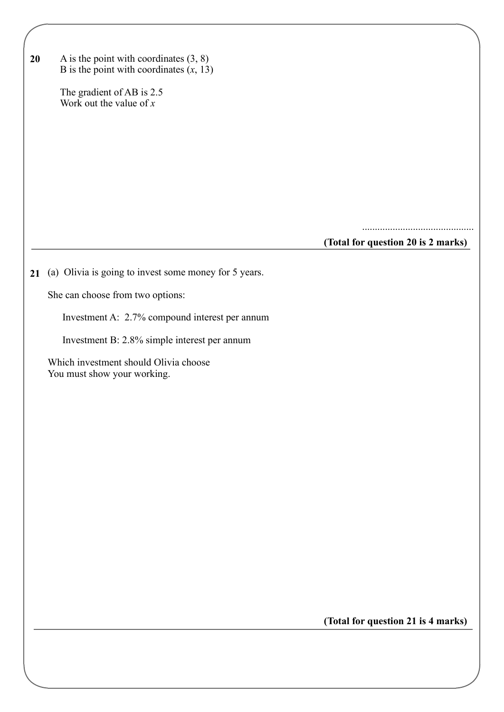| 20 | A is the point with coordinates $(3, 8)$<br>B is the point with coordinates $(x, 13)$<br>The gradient of AB is 2.5<br>Work out the value of $x$ |                                    |
|----|-------------------------------------------------------------------------------------------------------------------------------------------------|------------------------------------|
|    |                                                                                                                                                 |                                    |
|    |                                                                                                                                                 | (Total for question 20 is 2 marks) |
| 21 | (a) Olivia is going to invest some money for 5 years.                                                                                           |                                    |
|    | She can choose from two options:                                                                                                                |                                    |
|    | Investment A: 2.7% compound interest per annum                                                                                                  |                                    |
|    | Investment B: 2.8% simple interest per annum                                                                                                    |                                    |
|    | Which investment should Olivia choose<br>You must show your working.                                                                            |                                    |
|    |                                                                                                                                                 |                                    |
|    |                                                                                                                                                 |                                    |
|    |                                                                                                                                                 |                                    |
|    |                                                                                                                                                 |                                    |
|    |                                                                                                                                                 |                                    |
|    |                                                                                                                                                 |                                    |
|    |                                                                                                                                                 |                                    |
|    |                                                                                                                                                 |                                    |
|    |                                                                                                                                                 |                                    |
|    |                                                                                                                                                 | (Total for question 21 is 4 marks) |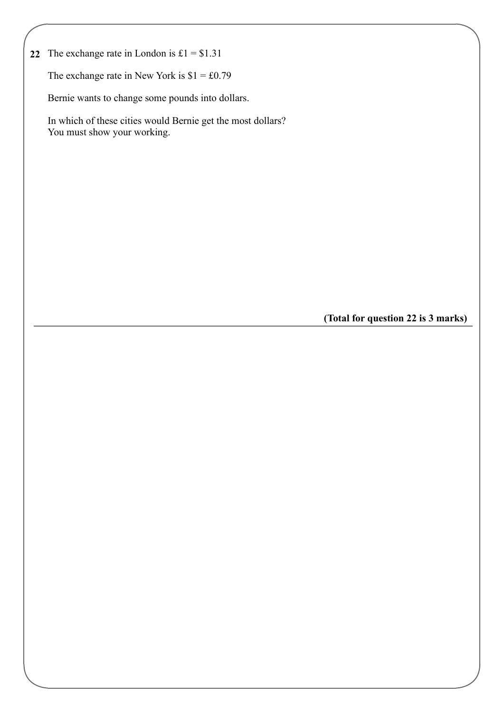**22** The exchange rate in London is  $£1 = $1.31$ 

The exchange rate in New York is  $$1 = £0.79$ 

Bernie wants to change some pounds into dollars.

 In which of these cities would Bernie get the most dollars? You must show your working.

**(Total for question 22 is 3 marks)**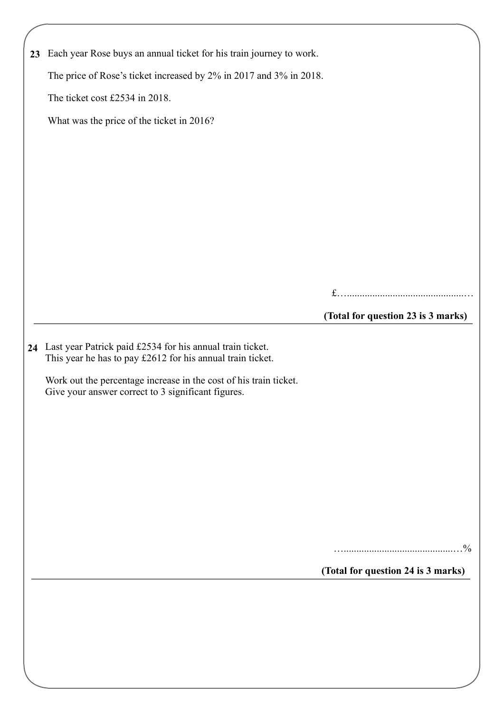| 23 | Each year Rose buys an annual ticket for his train journey to work.                                                        |                                    |
|----|----------------------------------------------------------------------------------------------------------------------------|------------------------------------|
|    | The price of Rose's ticket increased by 2% in 2017 and 3% in 2018.                                                         |                                    |
|    | The ticket cost £2534 in 2018.                                                                                             |                                    |
|    | What was the price of the ticket in 2016?                                                                                  |                                    |
|    |                                                                                                                            |                                    |
|    |                                                                                                                            |                                    |
|    |                                                                                                                            |                                    |
|    |                                                                                                                            |                                    |
|    |                                                                                                                            |                                    |
|    |                                                                                                                            |                                    |
|    |                                                                                                                            |                                    |
|    |                                                                                                                            |                                    |
|    |                                                                                                                            | (Total for question 23 is 3 marks) |
|    | 24 Last year Patrick paid £2534 for his annual train ticket.<br>This year he has to pay £2612 for his annual train ticket. |                                    |
|    | Work out the percentage increase in the cost of his train ticket.<br>Give your answer correct to 3 significant figures.    |                                    |
|    |                                                                                                                            | $^{0}_{0}$                         |
|    |                                                                                                                            |                                    |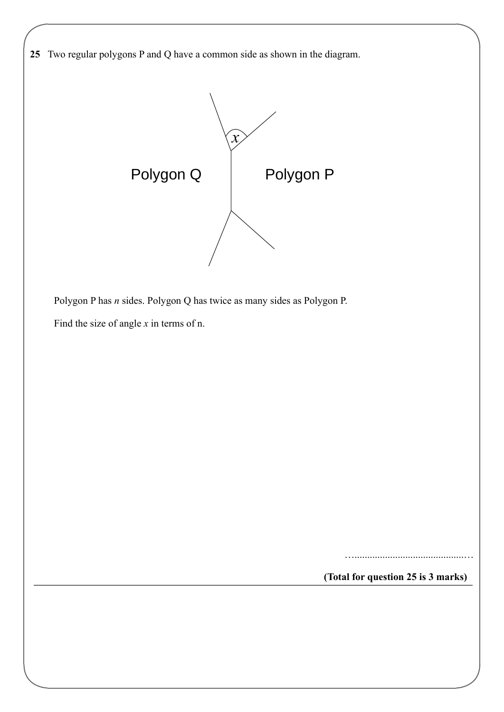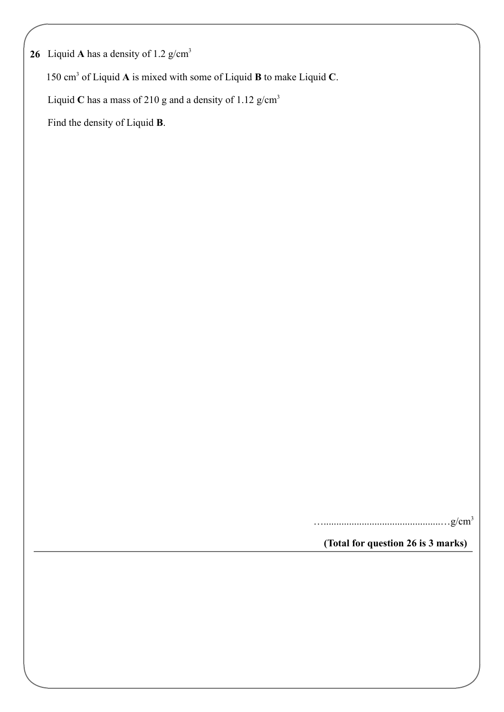**26** Liquid **A** has a density of 1.2 g/cm<sup>3</sup>

150 cm<sup>3</sup> of Liquid A is mixed with some of Liquid **B** to make Liquid C.

Liquid C has a mass of 210 g and a density of 1.12  $g/cm<sup>3</sup>$ 

Find the density of Liquid **B**.

………………………………………g/cm<sup>3</sup>

**(Total for question 26 is 3 marks)**